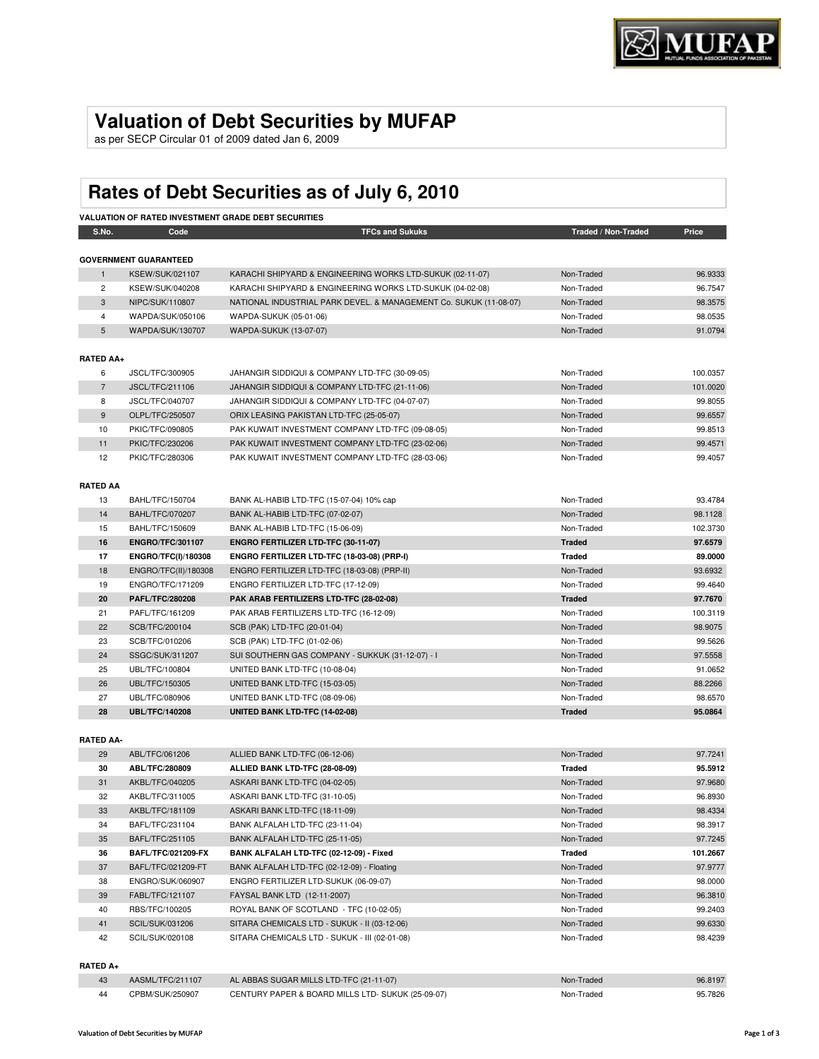## **Valuation of Debt Securities by MUFAP**

as per SECP Circular 01 of 2009 dated Jan 6, 2009

# **Rates of Debt Securities as of July 6, 2010**

|                  | <b>VALUATION OF RATED INVESTMENT GRADE DEBT SECURITIES</b> |                                                                   |                     |          |  |  |  |
|------------------|------------------------------------------------------------|-------------------------------------------------------------------|---------------------|----------|--|--|--|
| S.No.            | Code                                                       | <b>TFCs and Sukuks</b>                                            | Traded / Non-Traded | Price    |  |  |  |
|                  |                                                            |                                                                   |                     |          |  |  |  |
|                  | <b>GOVERNMENT GUARANTEED</b>                               |                                                                   |                     |          |  |  |  |
| $\mathbf{1}$     | <b>KSEW/SUK/021107</b>                                     | KARACHI SHIPYARD & ENGINEERING WORKS LTD-SUKUK (02-11-07)         | Non-Traded          | 96.9333  |  |  |  |
| $\overline{2}$   | KSEW/SUK/040208                                            | KARACHI SHIPYARD & ENGINEERING WORKS LTD-SUKUK (04-02-08)         | Non-Traded          | 96.7547  |  |  |  |
| 3                | NIPC/SUK/110807                                            | NATIONAL INDUSTRIAL PARK DEVEL. & MANAGEMENT Co. SUKUK (11-08-07) | Non-Traded          | 98.3575  |  |  |  |
| 4                | WAPDA/SUK/050106                                           | WAPDA-SUKUK (05-01-06)                                            | Non-Traded          | 98.0535  |  |  |  |
| 5                | WAPDA/SUK/130707                                           | WAPDA-SUKUK (13-07-07)                                            | Non-Traded          | 91.0794  |  |  |  |
| <b>RATED AA+</b> |                                                            |                                                                   |                     |          |  |  |  |
| 6                | JSCL/TFC/300905                                            | JAHANGIR SIDDIQUI & COMPANY LTD-TFC (30-09-05)                    | Non-Traded          | 100.0357 |  |  |  |
| $\overline{7}$   | <b>JSCL/TFC/211106</b>                                     | JAHANGIR SIDDIQUI & COMPANY LTD-TFC (21-11-06)                    | Non-Traded          | 101.0020 |  |  |  |
| 8                | JSCL/TFC/040707                                            | JAHANGIR SIDDIQUI & COMPANY LTD-TFC (04-07-07)                    | Non-Traded          | 99.8055  |  |  |  |
| 9                | OLPL/TFC/250507                                            | ORIX LEASING PAKISTAN LTD-TFC (25-05-07)                          | Non-Traded          | 99.6557  |  |  |  |
| 10               | PKIC/TFC/090805                                            | PAK KUWAIT INVESTMENT COMPANY LTD-TFC (09-08-05)                  | Non-Traded          | 99.8513  |  |  |  |
| 11               | PKIC/TFC/230206                                            | PAK KUWAIT INVESTMENT COMPANY LTD-TFC (23-02-06)                  | Non-Traded          | 99.4571  |  |  |  |
| 12               | PKIC/TFC/280306                                            | PAK KUWAIT INVESTMENT COMPANY LTD-TFC (28-03-06)                  | Non-Traded          | 99.4057  |  |  |  |
| <b>RATED AA</b>  |                                                            |                                                                   |                     |          |  |  |  |
| 13               | BAHL/TFC/150704                                            | BANK AL-HABIB LTD-TFC (15-07-04) 10% cap                          | Non-Traded          | 93.4784  |  |  |  |
| 14               | <b>BAHL/TFC/070207</b>                                     | BANK AL-HABIB LTD-TFC (07-02-07)                                  | Non-Traded          | 98.1128  |  |  |  |
| 15               | BAHL/TFC/150609                                            | BANK AL-HABIB LTD-TFC (15-06-09)                                  | Non-Traded          | 102.3730 |  |  |  |
| 16               | <b>ENGRO/TFC/301107</b>                                    | ENGRO FERTILIZER LTD-TFC (30-11-07)                               | <b>Traded</b>       | 97.6579  |  |  |  |
| 17               | <b>ENGRO/TFC(I)/180308</b>                                 | ENGRO FERTILIZER LTD-TFC (18-03-08) (PRP-I)                       | <b>Traded</b>       | 89.0000  |  |  |  |
| 18               | ENGRO/TFC(II)/180308                                       | ENGRO FERTILIZER LTD-TFC (18-03-08) (PRP-II)                      | Non-Traded          | 93.6932  |  |  |  |
| 19               | ENGRO/TFC/171209                                           | ENGRO FERTILIZER LTD-TFC (17-12-09)                               | Non-Traded          | 99.4640  |  |  |  |
| 20               | <b>PAFL/TFC/280208</b>                                     | PAK ARAB FERTILIZERS LTD-TFC (28-02-08)                           | <b>Traded</b>       | 97.7670  |  |  |  |
| 21               | PAFL/TFC/161209                                            | PAK ARAB FERTILIZERS LTD-TFC (16-12-09)                           | Non-Traded          | 100.3119 |  |  |  |
| 22               | SCB/TFC/200104                                             | SCB (PAK) LTD-TFC (20-01-04)                                      | Non-Traded          | 98.9075  |  |  |  |
| 23               | SCB/TFC/010206                                             | SCB (PAK) LTD-TFC (01-02-06)                                      | Non-Traded          | 99.5626  |  |  |  |
| 24               | SSGC/SUK/311207                                            | SUI SOUTHERN GAS COMPANY - SUKKUK (31-12-07) - I                  | Non-Traded          | 97.5558  |  |  |  |
| 25               | UBL/TFC/100804                                             | UNITED BANK LTD-TFC (10-08-04)                                    | Non-Traded          | 91.0652  |  |  |  |
| 26               | UBL/TFC/150305                                             | UNITED BANK LTD-TFC (15-03-05)                                    | Non-Traded          | 88.2266  |  |  |  |
| 27               | UBL/TFC/080906                                             | UNITED BANK LTD-TFC (08-09-06)                                    | Non-Traded          | 98.6570  |  |  |  |
| 28               | <b>UBL/TFC/140208</b>                                      | UNITED BANK LTD-TFC (14-02-08)                                    | <b>Traded</b>       | 95.0864  |  |  |  |
|                  |                                                            |                                                                   |                     |          |  |  |  |
| <b>RATED AA-</b> |                                                            |                                                                   |                     |          |  |  |  |
| 29               | ABL/TFC/061206                                             | ALLIED BANK LTD-TFC (06-12-06)                                    | Non-Traded          | 97.7241  |  |  |  |
| 30               | ABL/TFC/280809                                             | ALLIED BANK LTD-TFC (28-08-09)                                    | <b>Traded</b>       | 95.5912  |  |  |  |
| 31               | AKBL/TFC/040205                                            | ASKARI BANK LTD-TFC (04-02-05)                                    | Non-Traded          | 97.9680  |  |  |  |

| υc | ADL/IFU/200009            | ALLIED DANN LID-IFU (20-00-09)                | rrageg        | 99.99 IZ |
|----|---------------------------|-----------------------------------------------|---------------|----------|
| 31 | AKBL/TFC/040205           | ASKARI BANK LTD-TFC (04-02-05)                | Non-Traded    | 97.9680  |
| 32 | AKBL/TFC/311005           | ASKARI BANK LTD-TFC (31-10-05)                | Non-Traded    | 96.8930  |
| 33 | AKBL/TFC/181109           | ASKARI BANK LTD-TFC (18-11-09)                | Non-Traded    | 98.4334  |
| 34 | BAFL/TFC/231104           | BANK ALFALAH LTD-TFC (23-11-04)               | Non-Traded    | 98.3917  |
| 35 | BAFL/TFC/251105           | BANK ALFALAH LTD-TFC (25-11-05)               | Non-Traded    | 97.7245  |
| 36 | <b>BAFL/TFC/021209-FX</b> | BANK ALFALAH LTD-TFC (02-12-09) - Fixed       | <b>Traded</b> | 101.2667 |
| 37 | BAFL/TFC/021209-FT        | BANK ALFALAH LTD-TFC (02-12-09) - Floating    | Non-Traded    | 97.9777  |
| 38 | ENGRO/SUK/060907          | ENGRO FERTILIZER LTD-SUKUK (06-09-07)         | Non-Traded    | 98.0000  |
| 39 | FABL/TFC/121107           | FAYSAL BANK LTD (12-11-2007)                  | Non-Traded    | 96.3810  |
| 40 | RBS/TFC/100205            | ROYAL BANK OF SCOTLAND - TFC (10-02-05)       | Non-Traded    | 99.2403  |
| 41 | SCIL/SUK/031206           | SITARA CHEMICALS LTD - SUKUK - II (03-12-06)  | Non-Traded    | 99.6330  |
| 42 | SCIL/SUK/020108           | SITARA CHEMICALS LTD - SUKUK - III (02-01-08) | Non-Traded    | 98.4239  |
|    |                           |                                               |               |          |

#### **RATED A+**

| 43  | AASML/TFC/211107 | AL ABBAS SUGAR MILLS LTD-TFC (21-11-07)           | Non-Traded | 96.8197 |
|-----|------------------|---------------------------------------------------|------------|---------|
| -44 | CPBM/SUK/250907  | CENTURY PAPER & BOARD MILLS LTD- SUKUK (25-09-07) | Non-Traded | 95.7826 |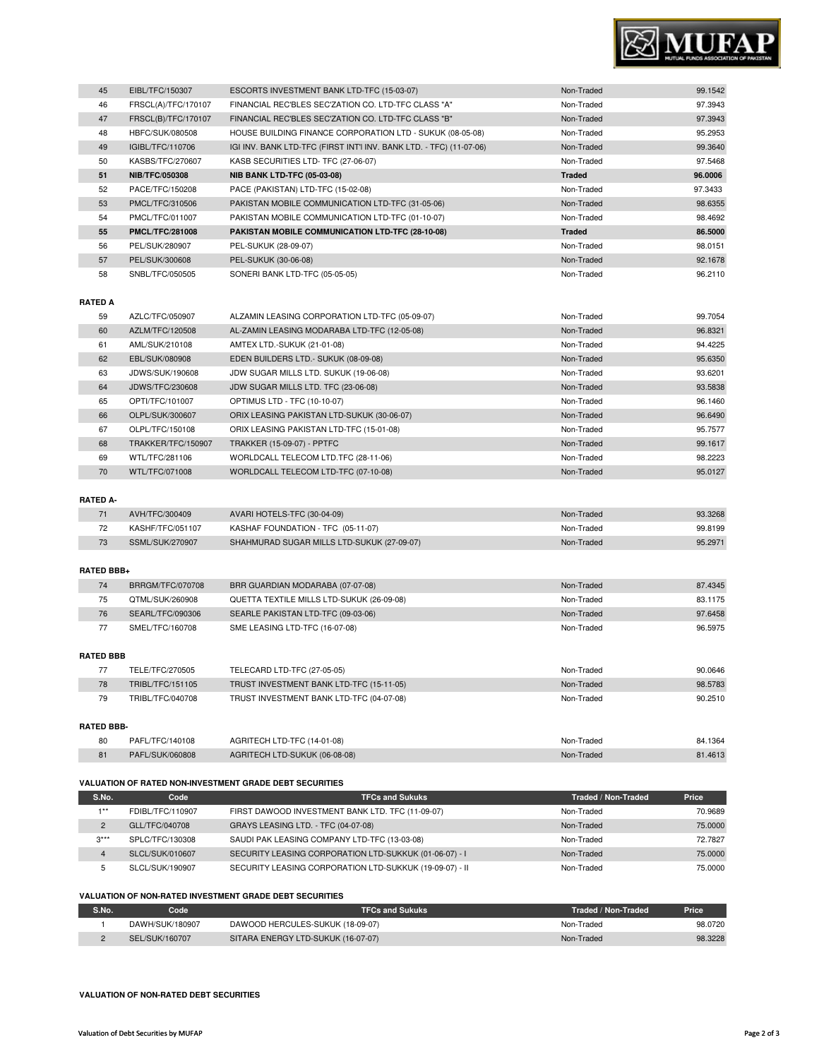

| 45 | EIBL/TFC/150307        | ESCORTS INVESTMENT BANK LTD-TFC (15-03-07)                          | Non-Traded    | 99.1542 |
|----|------------------------|---------------------------------------------------------------------|---------------|---------|
| 46 | FRSCL(A)/TFC/170107    | FINANCIAL REC'BLES SEC'ZATION CO. LTD-TFC CLASS "A"                 | Non-Traded    | 97.3943 |
| 47 | FRSCL(B)/TFC/170107    | FINANCIAL REC'BLES SEC'ZATION CO. LTD-TFC CLASS "B"                 | Non-Traded    | 97.3943 |
| 48 | HBFC/SUK/080508        | HOUSE BUILDING FINANCE CORPORATION LTD - SUKUK (08-05-08)           | Non-Traded    | 95.2953 |
| 49 | IGIBL/TFC/110706       | IGI INV. BANK LTD-TFC (FIRST INT'I INV. BANK LTD. - TFC) (11-07-06) | Non-Traded    | 99.3640 |
| 50 | KASBS/TFC/270607       | KASB SECURITIES LTD- TFC (27-06-07)                                 | Non-Traded    | 97.5468 |
| 51 | <b>NIB/TFC/050308</b>  | <b>NIB BANK LTD-TFC (05-03-08)</b>                                  | <b>Traded</b> | 96.0006 |
| 52 | PACE/TFC/150208        | PACE (PAKISTAN) LTD-TFC (15-02-08)                                  | Non-Traded    | 97.3433 |
| 53 | PMCL/TFC/310506        | PAKISTAN MOBILE COMMUNICATION LTD-TFC (31-05-06)                    | Non-Traded    | 98.6355 |
| 54 | PMCL/TFC/011007        | PAKISTAN MOBILE COMMUNICATION LTD-TFC (01-10-07)                    | Non-Traded    | 98.4692 |
| 55 | <b>PMCL/TFC/281008</b> | PAKISTAN MOBILE COMMUNICATION LTD-TFC (28-10-08)                    | <b>Traded</b> | 86.5000 |
| 56 | PEL/SUK/280907         | PEL-SUKUK (28-09-07)                                                | Non-Traded    | 98.0151 |
| 57 | PEL/SUK/300608         | PEL-SUKUK (30-06-08)                                                | Non-Traded    | 92.1678 |
| 58 | SNBL/TFC/050505        | SONERI BANK LTD-TFC (05-05-05)                                      | Non-Traded    | 96.2110 |

#### **RATED A**

I

| 59 | AZLC/TFC/050907    | ALZAMIN LEASING CORPORATION LTD-TFC (05-09-07) | Non-Traded | 99.7054 |
|----|--------------------|------------------------------------------------|------------|---------|
| 60 | AZLM/TFC/120508    | AL-ZAMIN LEASING MODARABA LTD-TFC (12-05-08)   | Non-Traded | 96.8321 |
| 61 | AML/SUK/210108     | AMTEX LTD.-SUKUK (21-01-08)                    | Non-Traded | 94.4225 |
| 62 | EBL/SUK/080908     | EDEN BUILDERS LTD. - SUKUK (08-09-08)          | Non-Traded | 95.6350 |
| 63 | JDWS/SUK/190608    | JDW SUGAR MILLS LTD. SUKUK (19-06-08)          | Non-Traded | 93.6201 |
| 64 | JDWS/TFC/230608    | JDW SUGAR MILLS LTD. TFC (23-06-08)            | Non-Traded | 93.5838 |
| 65 | OPTI/TFC/101007    | OPTIMUS LTD - TFC (10-10-07)                   | Non-Traded | 96.1460 |
| 66 | OLPL/SUK/300607    | ORIX LEASING PAKISTAN LTD-SUKUK (30-06-07)     | Non-Traded | 96.6490 |
| 67 | OLPL/TFC/150108    | ORIX LEASING PAKISTAN LTD-TFC (15-01-08)       | Non-Traded | 95.7577 |
| 68 | TRAKKER/TFC/150907 | <b>TRAKKER (15-09-07) - PPTFC</b>              | Non-Traded | 99.1617 |
| 69 | WTL/TFC/281106     | WORLDCALL TELECOM LTD.TFC (28-11-06)           | Non-Traded | 98.2223 |
| 70 | WTL/TFC/071008     | WORLDCALL TELECOM LTD-TFC (07-10-08)           | Non-Traded | 95.0127 |

### **RATED A-**

| AVH/TFC/300409   | AVARI HOTELS-TFC (30-04-09)                | Non-Traded | 93.3268 |
|------------------|--------------------------------------------|------------|---------|
| KASHF/TFC/051107 | KASHAF FOUNDATION - TFC (05-11-07)         | Non-Traded | 99.8199 |
| SSML/SUK/270907  | SHAHMURAD SUGAR MILLS LTD-SUKUK (27-09-07) | Non-Traded | 95.2971 |

#### **RATED BBB+**

| 74 | BRRGM/TFC/070708 | BRR GUARDIAN MODARABA (07-07-08)          | Non-Traded | 87.4345 |
|----|------------------|-------------------------------------------|------------|---------|
| 75 | QTML/SUK/260908  | QUETTA TEXTILE MILLS LTD-SUKUK (26-09-08) | Non-Traded | 83.1175 |
| 76 | SEARL/TFC/090306 | SEARLE PAKISTAN LTD-TFC (09-03-06)        | Non-Traded | 97.6458 |
| 77 | SMEL/TFC/160708  | SME LEASING LTD-TFC (16-07-08)            | Non-Traded | 96.5975 |

#### **RATED BBB**

|                   | TELE/TFC/270505  | TELECARD LTD-TFC (27-05-05)              | Non-Traded | 90.0646 |  |
|-------------------|------------------|------------------------------------------|------------|---------|--|
| 78                | TRIBL/TFC/151105 | TRUST INVESTMENT BANK LTD-TFC (15-11-05) | Non-Traded | 98,5783 |  |
| 79                | TRIBL/TFC/040708 | TRUST INVESTMENT BANK LTD-TFC (04-07-08) | Non-Traded | 90.2510 |  |
|                   |                  |                                          |            |         |  |
| <b>RATED BBB-</b> |                  |                                          |            |         |  |

| 80 | PAFL/TFC/140108 | AGRITECH LTD-TFC (14-01-08)   | Traded<br>Non-1 | 84.1364 |
|----|-----------------|-------------------------------|-----------------|---------|
| 81 | PAFL/SUK/060808 | AGRITECH LTD-SUKUK (06-08-08) | Non-Traded      | 1.461   |

#### **VALUATION OF RATED NON-INVESTMENT GRADE DEBT SECURITIES**

| S.No.          | Code             | <b>TFCs and Sukuks</b>                                  | Traded / Non-Traded | Price   |
|----------------|------------------|---------------------------------------------------------|---------------------|---------|
| $4 * *$        | FDIBL/TFC/110907 | FIRST DAWOOD INVESTMENT BANK LTD. TFC (11-09-07)        | Non-Traded          | 70.9689 |
| $\overline{2}$ | GLL/TFC/040708   | GRAYS LEASING LTD. - TFC (04-07-08)                     | Non-Traded          | 75,0000 |
| $3***$         | SPLC/TFC/130308  | SAUDI PAK LEASING COMPANY LTD-TFC (13-03-08)            | Non-Traded          | 72.7827 |
| 4              | SLCL/SUK/010607  | SECURITY LEASING CORPORATION LTD-SUKKUK (01-06-07) - I  | Non-Traded          | 75,0000 |
| 5              | SLCL/SUK/190907  | SECURITY LEASING CORPORATION LTD-SUKKUK (19-09-07) - II | Non-Traded          | 75,0000 |

#### **VALUATION OF NON-RATED INVESTMENT GRADE DEBT SECURITIES**

| S.No. | Code            | <b>TFCs and Sukuks</b>             | Traded / Non-Traded | Price   |
|-------|-----------------|------------------------------------|---------------------|---------|
|       | DAWH/SUK/180907 | DAWOOD HERCULES-SUKUK (18-09-07)   | Non-Traded          | 98.0720 |
|       | SEL/SUK/160707  | SITARA ENERGY LTD-SUKUK (16-07-07) | Non-Traded          | 98.3228 |